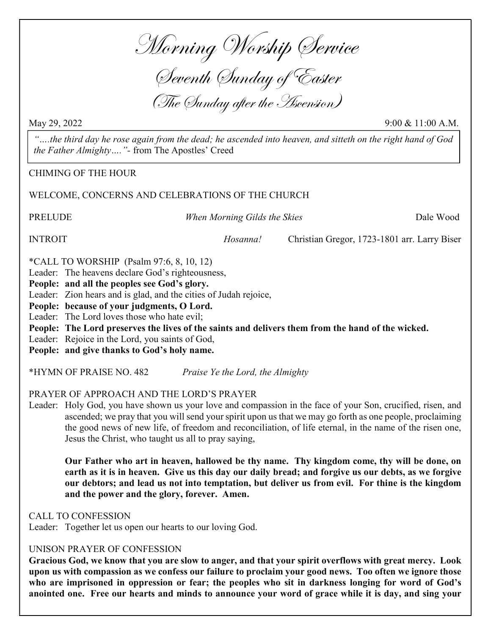Morning Worship Service

Seventh Sunday of Easter (The Sunday after the Ascension)

May 29, 2022 9:00 & 11:00 A.M.

"….the third day he rose again from the dead; he ascended into heaven, and sitteth on the right hand of God the Father Almighty…."- from The Apostles' Creed

CHIMING OF THE HOUR

WELCOME, CONCERNS AND CELEBRATIONS OF THE CHURCH

PRELUDE When Morning Gilds the Skies Dale Wood

INTROIT Hosanna! Christian Gregor, 1723-1801 arr. Larry Biser

\*CALL TO WORSHIP (Psalm 97:6, 8, 10, 12)

Leader: The heavens declare God's righteousness,

People: and all the peoples see God's glory.

Leader: Zion hears and is glad, and the cities of Judah rejoice,

People: because of your judgments, O Lord.

Leader: The Lord loves those who hate evil;

People: The Lord preserves the lives of the saints and delivers them from the hand of the wicked.

Leader: Rejoice in the Lord, you saints of God,

People: and give thanks to God's holy name.

\*HYMN OF PRAISE NO. 482 Praise Ye the Lord, the Almighty

PRAYER OF APPROACH AND THE LORD'S PRAYER

Leader: Holy God, you have shown us your love and compassion in the face of your Son, crucified, risen, and ascended; we pray that you will send your spirit upon us that we may go forth as one people, proclaiming the good news of new life, of freedom and reconciliation, of life eternal, in the name of the risen one, Jesus the Christ, who taught us all to pray saying,

Our Father who art in heaven, hallowed be thy name. Thy kingdom come, thy will be done, on earth as it is in heaven. Give us this day our daily bread; and forgive us our debts, as we forgive our debtors; and lead us not into temptation, but deliver us from evil. For thine is the kingdom and the power and the glory, forever. Amen.

CALL TO CONFESSION

Leader: Together let us open our hearts to our loving God.

#### UNISON PRAYER OF CONFESSION

Gracious God, we know that you are slow to anger, and that your spirit overflows with great mercy. Look upon us with compassion as we confess our failure to proclaim your good news. Too often we ignore those who are imprisoned in oppression or fear; the peoples who sit in darkness longing for word of God's anointed one. Free our hearts and minds to announce your word of grace while it is day, and sing your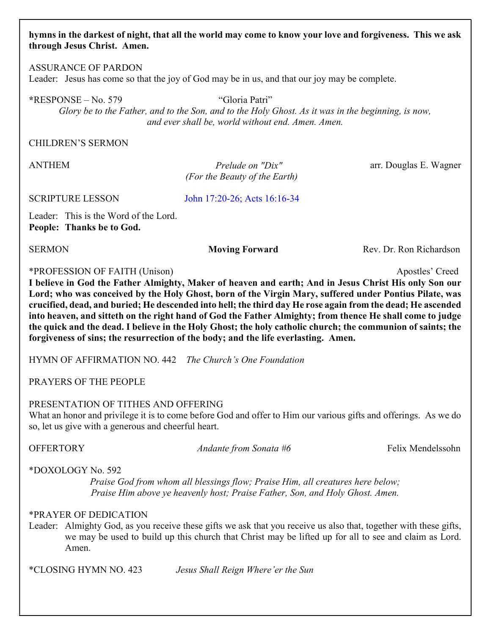#### hymns in the darkest of night, that all the world may come to know your love and forgiveness. This we ask through Jesus Christ. Amen.

ASSURANCE OF PARDON Leader: Jesus has come so that the joy of God may be in us, and that our joy may be complete.

\*RESPONSE – No. 579 "Gloria Patri"

Glory be to the Father, and to the Son, and to the Holy Ghost. As it was in the beginning, is now, and ever shall be, world without end. Amen. Amen.

#### CHILDREN'S SERMON

ANTHEM *Prelude on "Dix"* arr. Douglas E. Wagner Prelude on "Dix" (For the Beauty of the Earth)

SCRIPTURE LESSON

<John 17:20-26; Acts 16:16-34>

Leader: This is the Word of the Lord. People: Thanks be to God.

SERMON Moving Forward Rev. Dr. Ron Richardson

\*PROFESSION OF FAITH (Unison) Apostles' Creed

I believe in God the Father Almighty, Maker of heaven and earth; And in Jesus Christ His only Son our Lord; who was conceived by the Holy Ghost, born of the Virgin Mary, suffered under Pontius Pilate, was crucified, dead, and buried; He descended into hell; the third day He rose again from the dead; He ascended into heaven, and sitteth on the right hand of God the Father Almighty; from thence He shall come to judge the quick and the dead. I believe in the Holy Ghost; the holy catholic church; the communion of saints; the forgiveness of sins; the resurrection of the body; and the life everlasting. Amen.

HYMN OF AFFIRMATION NO. 442 The Church's One Foundation

PRAYERS OF THE PEOPLE

#### PRESENTATION OF TITHES AND OFFERING

What an honor and privilege it is to come before God and offer to Him our various gifts and offerings. As we do so, let us give with a generous and cheerful heart.

OFFERTORY Andante from Sonata #6 Felix Mendelssohn

\*DOXOLOGY No. 592

Praise God from whom all blessings flow; Praise Him, all creatures here below; Praise Him above ye heavenly host; Praise Father, Son, and Holy Ghost. Amen.

#### \*PRAYER OF DEDICATION

Leader: Almighty God, as you receive these gifts we ask that you receive us also that, together with these gifts, we may be used to build up this church that Christ may be lifted up for all to see and claim as Lord. Amen.

\*CLOSING HYMN NO. 423 Jesus Shall Reign Where'er the Sun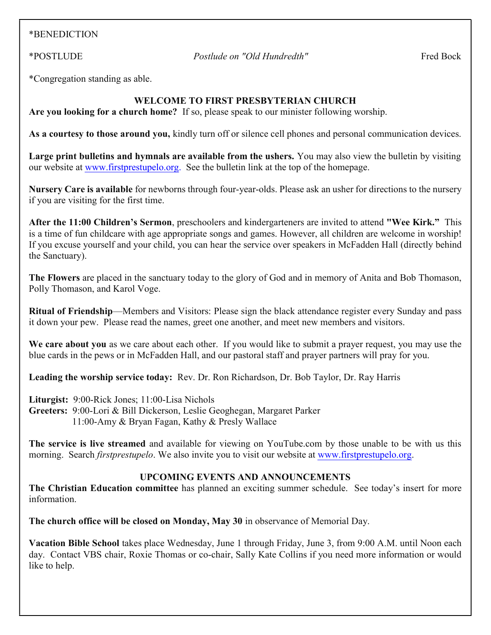#### \*BENEDICTION

\*POSTLUDE Postlude on "Old Hundredth" Fred Bock

\*Congregation standing as able.

#### WELCOME TO FIRST PRESBYTERIAN CHURCH

Are you looking for a church home? If so, please speak to our minister following worship.

As a courtesy to those around you, kindly turn off or silence cell phones and personal communication devices.

Large print bulletins and hymnals are available from the ushers. You may also view the bulletin by visiting our website at [www.firstprestupelo.org.](https:www.firstprestupelo.org) See the bulletin link at the top of the homepage.

Nursery Care is available for newborns through four-year-olds. Please ask an usher for directions to the nursery if you are visiting for the first time.

After the 11:00 Children's Sermon, preschoolers and kindergarteners are invited to attend "Wee Kirk." This is a time of fun childcare with age appropriate songs and games. However, all children are welcome in worship! If you excuse yourself and your child, you can hear the service over speakers in McFadden Hall (directly behind the Sanctuary).

The Flowers are placed in the sanctuary today to the glory of God and in memory of Anita and Bob Thomason, Polly Thomason, and Karol Voge.

Ritual of Friendship—Members and Visitors: Please sign the black attendance register every Sunday and pass it down your pew. Please read the names, greet one another, and meet new members and visitors.

We care about you as we care about each other. If you would like to submit a prayer request, you may use the blue cards in the pews or in McFadden Hall, and our pastoral staff and prayer partners will pray for you.

Leading the worship service today: Rev. Dr. Ron Richardson, Dr. Bob Taylor, Dr. Ray Harris

Liturgist: 9:00-Rick Jones; 11:00-Lisa Nichols

Greeters: 9:00-Lori & Bill Dickerson, Leslie Geoghegan, Margaret Parker 11:00-Amy & Bryan Fagan, Kathy & Presly Wallace

The service is live streamed and available for viewing on YouTube.com by those unable to be with us this morning. Search *firstprestupelo*. We also invite you to visit our website at [www.firstprestupelo.org.](https://www.firstprestupelo.org)

#### UPCOMING EVENTS AND ANNOUNCEMENTS

The Christian Education committee has planned an exciting summer schedule. See today's insert for more information.

The church office will be closed on Monday, May 30 in observance of Memorial Day.

Vacation Bible School takes place Wednesday, June 1 through Friday, June 3, from 9:00 A.M. until Noon each day. Contact VBS chair, Roxie Thomas or co-chair, Sally Kate Collins if you need more information or would like to help.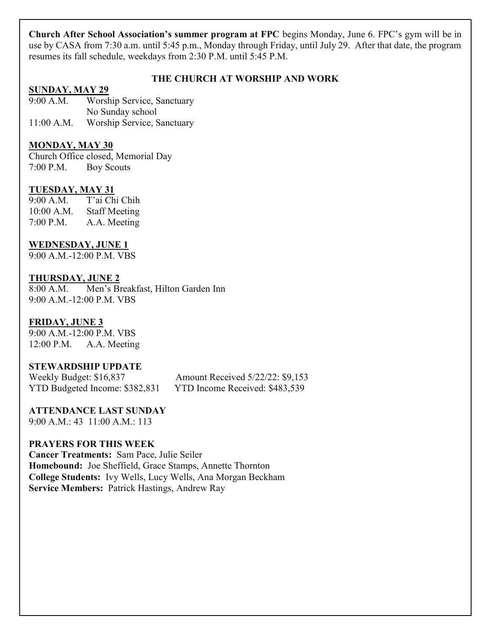Church After School Association's summer program at FPC begins Monday, June 6. FPC's gym will be in use by CASA from 7:30 a.m. until 5:45 p.m., Monday through Friday, until July 29. After that date, the program resumes its fall schedule, weekdays from 2:30 P.M. until 5:45 P.M.

#### THE CHURCH AT WORSHIP AND WORK

#### SUNDAY, MAY 29

9:00 A.M. Worship Service, Sanctuary No Sunday school

11:00 A.M. Worship Service, Sanctuary

#### MONDAY, MAY 30

Church Office closed, Memorial Day 7:00 P.M. Boy Scouts

#### TUESDAY, MAY 31

9:00 A.M. T'ai Chi Chih 10:00 A.M. Staff Meeting 7:00 P.M. A.A. Meeting

#### WEDNESDAY, JUNE 1

9:00 A.M.-12:00 P.M. VBS

#### THURSDAY, JUNE 2

8:00 A.M. Men's Breakfast, Hilton Garden Inn 9:00 A.M.-12:00 P.M. VBS

#### FRIDAY, JUNE 3

9:00 A.M.-12:00 P.M. VBS 12:00 P.M. A.A. Meeting

#### STEWARDSHIP UPDATE

Weekly Budget: \$16,837 Amount Received 5/22/22: \$9,153 YTD Budgeted Income: \$382,831 YTD Income Received: \$483,539

ATTENDANCE LAST SUNDAY 9:00 A.M.: 43 11:00 A.M.: 113

#### PRAYERS FOR THIS WEEK

Cancer Treatments: Sam Pace, Julie Seiler Homebound: Joe Sheffield, Grace Stamps, Annette Thornton College Students: Ivy Wells, Lucy Wells, Ana Morgan Beckham Service Members: Patrick Hastings, Andrew Ray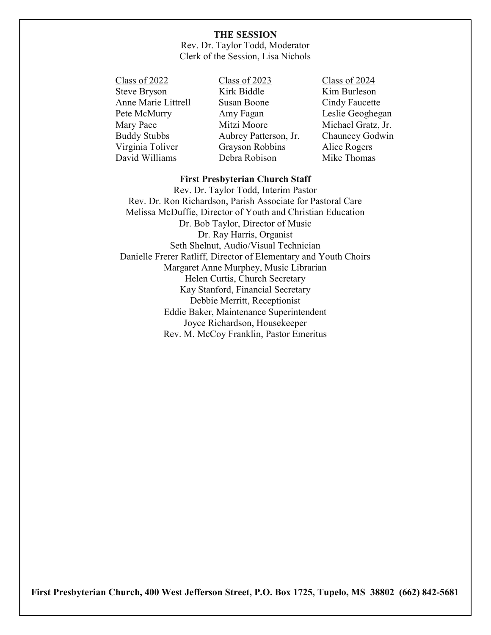#### THE SESSION

Rev. Dr. Taylor Todd, Moderator Clerk of the Session, Lisa Nichols

Class of 2022 Class of 2023 Class of 2024 Steve Bryson Kirk Biddle Kim Burleson Anne Marie Littrell Susan Boone Cindy Faucette Pete McMurry Amy Fagan Leslie Geoghegan Mary Pace Mitzi Moore Michael Gratz, Jr. Buddy Stubbs Aubrey Patterson, Jr. Chauncey Godwin Virginia Toliver Grayson Robbins Alice Rogers David Williams Debra Robison Mike Thomas

#### First Presbyterian Church Staff

Rev. Dr. Taylor Todd, Interim Pastor Rev. Dr. Ron Richardson, Parish Associate for Pastoral Care Melissa McDuffie, Director of Youth and Christian Education Dr. Bob Taylor, Director of Music Dr. Ray Harris, Organist Seth Shelnut, Audio/Visual Technician Danielle Frerer Ratliff, Director of Elementary and Youth Choirs Margaret Anne Murphey, Music Librarian Helen Curtis, Church Secretary Kay Stanford, Financial Secretary Debbie Merritt, Receptionist Eddie Baker, Maintenance Superintendent Joyce Richardson, Housekeeper Rev. M. McCoy Franklin, Pastor Emeritus

First Presbyterian Church, 400 West Jefferson Street, P.O. Box 1725, Tupelo, MS 38802 (662) 842-5681